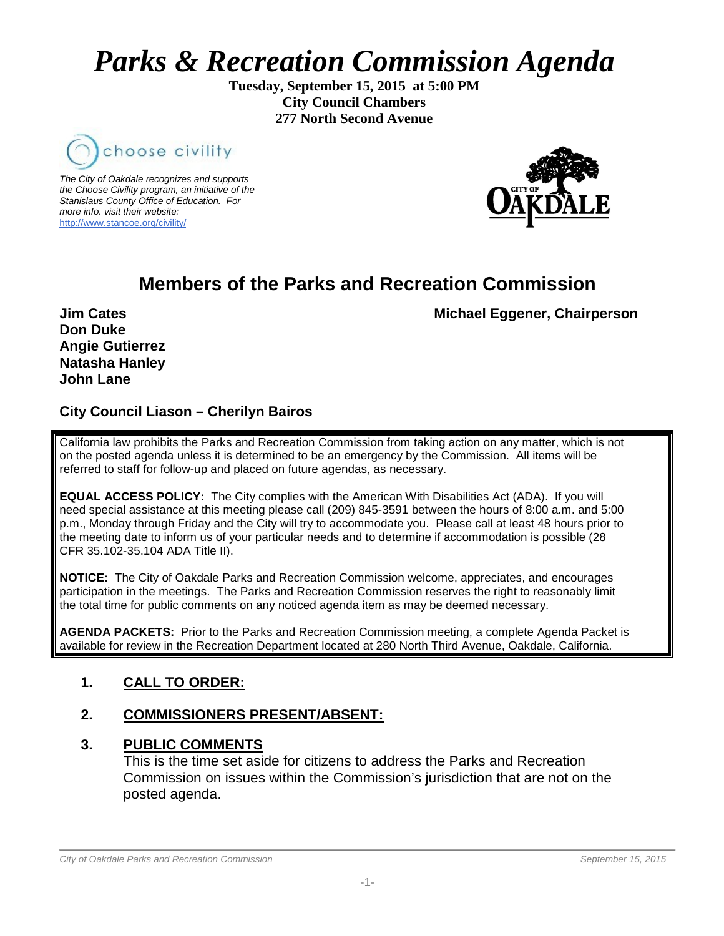# *Parks & Recreation Commission Agenda*

**Tuesday, September 15, 2015 at 5:00 PM City Council Chambers 277 North Second Avenue**



*The City of Oakdale recognizes and supports the Choose Civility program, an initiative of the Stanislaus County Office of Education. For more info. visit their website:* [http://www.stancoe.org/civility/](http://links.schoolloop.com/link/rd?href=736c5f6c696e6b6666303163633065623266687474703a2f2f7777772e7374616e636f652e6f72672f636976696c6974792f)



# **Members of the Parks and Recreation Commission**

**Jim Cates** Michael Eggener, Chairperson

**Don Duke Angie Gutierrez Natasha Hanley John Lane**

# **City Council Liason – Cherilyn Bairos**

California law prohibits the Parks and Recreation Commission from taking action on any matter, which is not on the posted agenda unless it is determined to be an emergency by the Commission. All items will be referred to staff for follow-up and placed on future agendas, as necessary.

**EQUAL ACCESS POLICY:** The City complies with the American With Disabilities Act (ADA). If you will need special assistance at this meeting please call (209) 845-3591 between the hours of 8:00 a.m. and 5:00 p.m., Monday through Friday and the City will try to accommodate you. Please call at least 48 hours prior to the meeting date to inform us of your particular needs and to determine if accommodation is possible (28 CFR 35.102-35.104 ADA Title II).

**NOTICE:** The City of Oakdale Parks and Recreation Commission welcome, appreciates, and encourages participation in the meetings. The Parks and Recreation Commission reserves the right to reasonably limit the total time for public comments on any noticed agenda item as may be deemed necessary.

**AGENDA PACKETS:** Prior to the Parks and Recreation Commission meeting, a complete Agenda Packet is available for review in the Recreation Department located at 280 North Third Avenue, Oakdale, California.

# **1. CALL TO ORDER:**

# **2. COMMISSIONERS PRESENT/ABSENT:**

#### **3. PUBLIC COMMENTS**

This is the time set aside for citizens to address the Parks and Recreation Commission on issues within the Commission's jurisdiction that are not on the posted agenda.